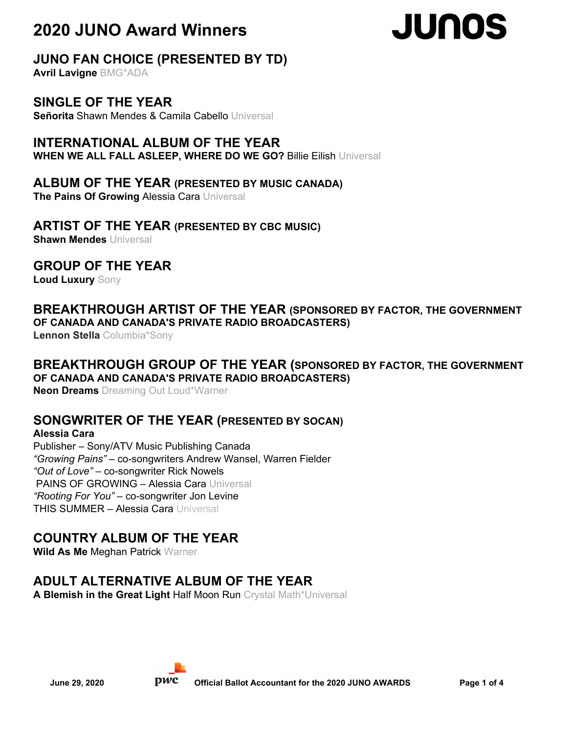# JUNOS

## **JUNO FAN CHOICE (PRESENTED BY TD)**

**Avril Lavigne** BMG\*ADA

#### **SINGLE OF THE YEAR**

**Señorita** Shawn Mendes & Camila Cabello Universal

#### **INTERNATIONAL ALBUM OF THE YEAR**

**WHEN WE ALL FALL ASLEEP, WHERE DO WE GO?** Billie Eilish Universal

#### **ALBUM OF THE YEAR (PRESENTED BY MUSIC CANADA)**

**The Pains Of Growing** Alessia Cara Universal

#### **ARTIST OF THE YEAR (PRESENTED BY CBC MUSIC)**

**Shawn Mendes** Universal

#### **GROUP OF THE YEAR**

**Loud Luxury** Sony

#### **BREAKTHROUGH ARTIST OF THE YEAR (SPONSORED BY FACTOR, THE GOVERNMENT OF CANADA AND CANADA'S PRIVATE RADIO BROADCASTERS)**

**Lennon Stella** Columbia\*Sony

#### **BREAKTHROUGH GROUP OF THE YEAR (SPONSORED BY FACTOR, THE GOVERNMENT OF CANADA AND CANADA'S PRIVATE RADIO BROADCASTERS)**

**Neon Dreams** Dreaming Out Loud\*Warner

#### **SONGWRITER OF THE YEAR (PRESENTED BY SOCAN)**

#### **Alessia Cara**

Publisher – Sony/ATV Music Publishing Canada *"Growing Pains"* – co-songwriters Andrew Wansel, Warren Fielder *"Out of Love"* – co-songwriter Rick Nowels PAINS OF GROWING – Alessia Cara Universal *"Rooting For You"* – co-songwriter Jon Levine THIS SUMMER – Alessia Cara Universal

## **COUNTRY ALBUM OF THE YEAR**

**Wild As Me** Meghan Patrick Warner

## **ADULT ALTERNATIVE ALBUM OF THE YEAR**

**A Blemish in the Great Light** Half Moon Run Crystal Math\*Universal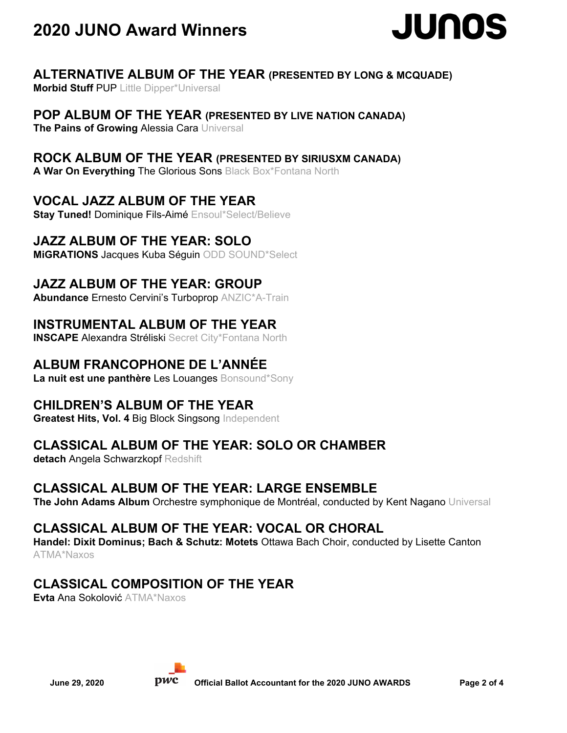

#### **ALTERNATIVE ALBUM OF THE YEAR (PRESENTED BY LONG & MCQUADE)**

**Morbid Stuff** PUP Little Dipper\*Universal

#### **POP ALBUM OF THE YEAR (PRESENTED BY LIVE NATION CANADA)**

**The Pains of Growing** Alessia Cara Universal

#### **ROCK ALBUM OF THE YEAR (PRESENTED BY SIRIUSXM CANADA)**

**A War On Everything** The Glorious Sons Black Box\*Fontana North

#### **VOCAL JAZZ ALBUM OF THE YEAR**

**Stay Tuned!** Dominique Fils-Aimé Ensoul\*Select/Believe

#### **JAZZ ALBUM OF THE YEAR: SOLO**

**MiGRATIONS** Jacques Kuba Séguin ODD SOUND\*Select

#### **JAZZ ALBUM OF THE YEAR: GROUP**

**Abundance** Ernesto Cervini's Turboprop ANZIC\*A-Train

#### **INSTRUMENTAL ALBUM OF THE YEAR**

**INSCAPE Alexandra Stréliski Secret City\*Fontana North** 

#### **ALBUM FRANCOPHONE DE L'ANNÉE**

**La nuit est une panthère** Les Louanges Bonsound\*Sony

#### **CHILDREN'S ALBUM OF THE YEAR**

**Greatest Hits, Vol. 4** Big Block Singsong Independent

#### **CLASSICAL ALBUM OF THE YEAR: SOLO OR CHAMBER**

**detach** Angela Schwarzkopf Redshift

#### **CLASSICAL ALBUM OF THE YEAR: LARGE ENSEMBLE**

**The John Adams Album** Orchestre symphonique de Montréal, conducted by Kent Nagano Universal

#### **CLASSICAL ALBUM OF THE YEAR: VOCAL OR CHORAL**

**Handel: Dixit Dominus; Bach & Schutz: Motets** Ottawa Bach Choir, conducted by Lisette Canton ATMA\*Naxos

#### **CLASSICAL COMPOSITION OF THE YEAR**

**Evta** Ana Sokolović ATMA\*Naxos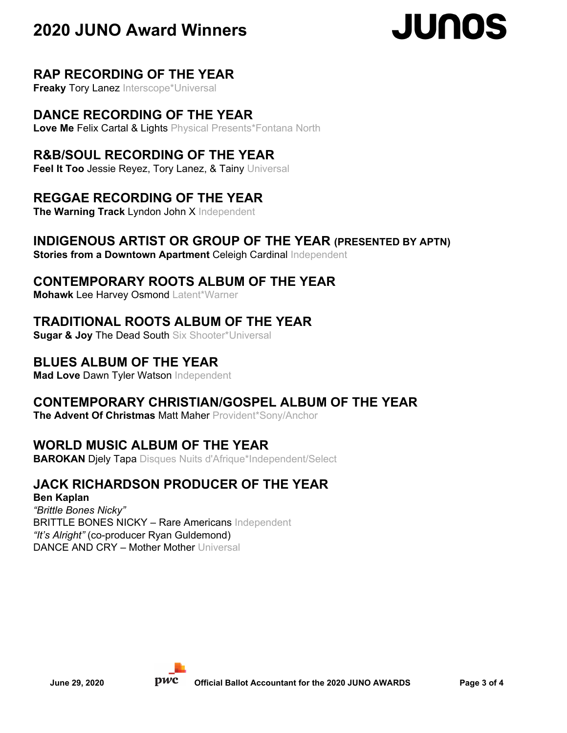# **JUNOS**

#### **RAP RECORDING OF THE YEAR**

**Freaky Tory Lanez Interscope\*Universal** 

#### **DANCE RECORDING OF THE YEAR**

**Love Me** Felix Cartal & Lights Physical Presents\*Fontana North

#### **R&B/SOUL RECORDING OF THE YEAR**

**Feel It Too** Jessie Reyez, Tory Lanez, & Tainy Universal

#### **REGGAE RECORDING OF THE YEAR**

**The Warning Track** Lyndon John X Independent

#### **INDIGENOUS ARTIST OR GROUP OF THE YEAR (PRESENTED BY APTN)**

**Stories from a Downtown Apartment** Celeigh Cardinal Independent

#### **CONTEMPORARY ROOTS ALBUM OF THE YEAR**

**Mohawk** Lee Harvey Osmond Latent\*Warner

#### **TRADITIONAL ROOTS ALBUM OF THE YEAR**

**Sugar & Joy** The Dead South Six Shooter\*Universal

## **BLUES ALBUM OF THE YEAR**

**Mad Love** Dawn Tyler Watson Independent

#### **CONTEMPORARY CHRISTIAN/GOSPEL ALBUM OF THE YEAR**

**The Advent Of Christmas** Matt Maher Provident\*Sony/Anchor

## **WORLD MUSIC ALBUM OF THE YEAR**

**BAROKAN Djely Tapa** Disques Nuits d'Afrique\*Independent/Select

## **JACK RICHARDSON PRODUCER OF THE YEAR**

**Ben Kaplan** *"Brittle Bones Nicky"* BRITTLE BONES NICKY – Rare Americans Independent *"It's Alright"* (co-producer Ryan Guldemond) DANCE AND CRY – Mother Mother Universal